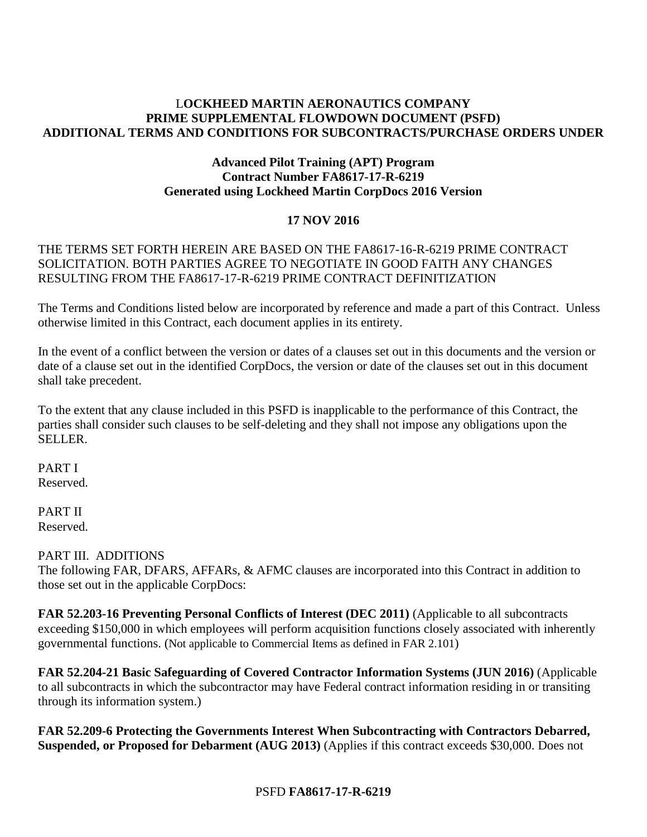#### L**OCKHEED MARTIN AERONAUTICS COMPANY PRIME SUPPLEMENTAL FLOWDOWN DOCUMENT (PSFD) ADDITIONAL TERMS AND CONDITIONS FOR SUBCONTRACTS/PURCHASE ORDERS UNDER**

#### **Advanced Pilot Training (APT) Program Contract Number FA8617-17-R-6219 Generated using Lockheed Martin CorpDocs 2016 Version**

## **17 NOV 2016**

## THE TERMS SET FORTH HEREIN ARE BASED ON THE FA8617-16-R-6219 PRIME CONTRACT SOLICITATION. BOTH PARTIES AGREE TO NEGOTIATE IN GOOD FAITH ANY CHANGES RESULTING FROM THE FA8617-17-R-6219 PRIME CONTRACT DEFINITIZATION

The Terms and Conditions listed below are incorporated by reference and made a part of this Contract. Unless otherwise limited in this Contract, each document applies in its entirety.

In the event of a conflict between the version or dates of a clauses set out in this documents and the version or date of a clause set out in the identified CorpDocs, the version or date of the clauses set out in this document shall take precedent.

To the extent that any clause included in this PSFD is inapplicable to the performance of this Contract, the parties shall consider such clauses to be self-deleting and they shall not impose any obligations upon the SELLER.

PART I Reserved.

PART II Reserved.

#### PART III. ADDITIONS

The following FAR, DFARS, AFFARs, & AFMC clauses are incorporated into this Contract in addition to those set out in the applicable CorpDocs:

**FAR 52.203-16 Preventing Personal Conflicts of Interest (DEC 2011)** (Applicable to all subcontracts exceeding \$150,000 in which employees will perform acquisition functions closely associated with inherently governmental functions. (Not applicable to Commercial Items as defined in FAR 2.101)

**FAR 52.204-21 Basic Safeguarding of Covered Contractor Information Systems (JUN 2016)** (Applicable to all subcontracts in which the subcontractor may have Federal contract information residing in or transiting through its information system.)

**FAR 52.209-6 Protecting the Governments Interest When Subcontracting with Contractors Debarred, Suspended, or Proposed for Debarment (AUG 2013)** (Applies if this contract exceeds \$30,000. Does not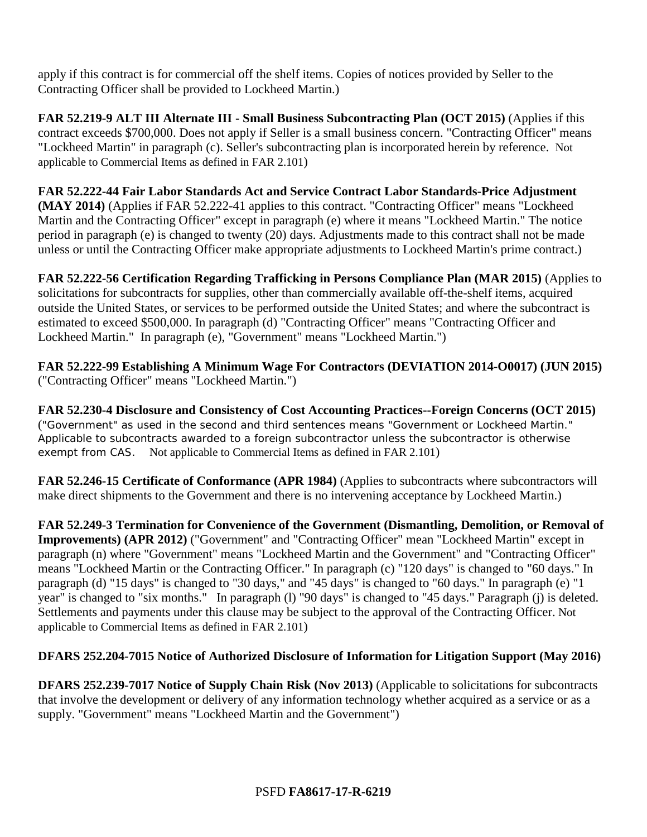apply if this contract is for commercial off the shelf items. Copies of notices provided by Seller to the Contracting Officer shall be provided to Lockheed Martin.)

**FAR 52.219-9 ALT III Alternate III - Small Business Subcontracting Plan (OCT 2015)** (Applies if this contract exceeds \$700,000. Does not apply if Seller is a small business concern. "Contracting Officer" means "Lockheed Martin" in paragraph (c). Seller's subcontracting plan is incorporated herein by reference. Not applicable to Commercial Items as defined in FAR 2.101)

**FAR 52.222-44 Fair Labor Standards Act and Service Contract Labor Standards-Price Adjustment (MAY 2014)** (Applies if FAR 52.222-41 applies to this contract. "Contracting Officer" means "Lockheed Martin and the Contracting Officer" except in paragraph (e) where it means "Lockheed Martin." The notice period in paragraph (e) is changed to twenty (20) days. Adjustments made to this contract shall not be made unless or until the Contracting Officer make appropriate adjustments to Lockheed Martin's prime contract.)

**FAR 52.222-56 Certification Regarding Trafficking in Persons Compliance Plan (MAR 2015)** (Applies to solicitations for subcontracts for supplies, other than commercially available off-the-shelf items, acquired outside the United States, or services to be performed outside the United States; and where the subcontract is estimated to exceed \$500,000. In paragraph (d) "Contracting Officer" means "Contracting Officer and Lockheed Martin." In paragraph (e), "Government" means "Lockheed Martin.")

**FAR 52.222-99 Establishing A Minimum Wage For Contractors (DEVIATION 2014-O0017) (JUN 2015)** ("Contracting Officer" means "Lockheed Martin.")

**FAR 52.230-4 Disclosure and Consistency of Cost Accounting Practices--Foreign Concerns (OCT 2015)** ("Government" as used in the second and third sentences means "Government or Lockheed Martin." Applicable to subcontracts awarded to a foreign subcontractor unless the subcontractor is otherwise exempt from CAS. Not applicable to Commercial Items as defined in FAR 2.101)

**FAR 52.246-15 Certificate of Conformance (APR 1984)** (Applies to subcontracts where subcontractors will make direct shipments to the Government and there is no intervening acceptance by Lockheed Martin.)

**FAR 52.249-3 Termination for Convenience of the Government (Dismantling, Demolition, or Removal of Improvements) (APR 2012)** ("Government" and "Contracting Officer" mean "Lockheed Martin" except in paragraph (n) where "Government" means "Lockheed Martin and the Government" and "Contracting Officer" means "Lockheed Martin or the Contracting Officer." In paragraph (c) "120 days" is changed to "60 days." In paragraph (d) "15 days" is changed to "30 days," and "45 days" is changed to "60 days." In paragraph (e) "1 year" is changed to "six months." In paragraph (l) "90 days" is changed to "45 days." Paragraph (j) is deleted. Settlements and payments under this clause may be subject to the approval of the Contracting Officer. Not applicable to Commercial Items as defined in FAR 2.101)

# **DFARS 252.204-7015 Notice of Authorized Disclosure of Information for Litigation Support (May 2016)**

**DFARS 252.239-7017 Notice of Supply Chain Risk (Nov 2013)** (Applicable to solicitations for subcontracts that involve the development or delivery of any information technology whether acquired as a service or as a supply. "Government" means "Lockheed Martin and the Government")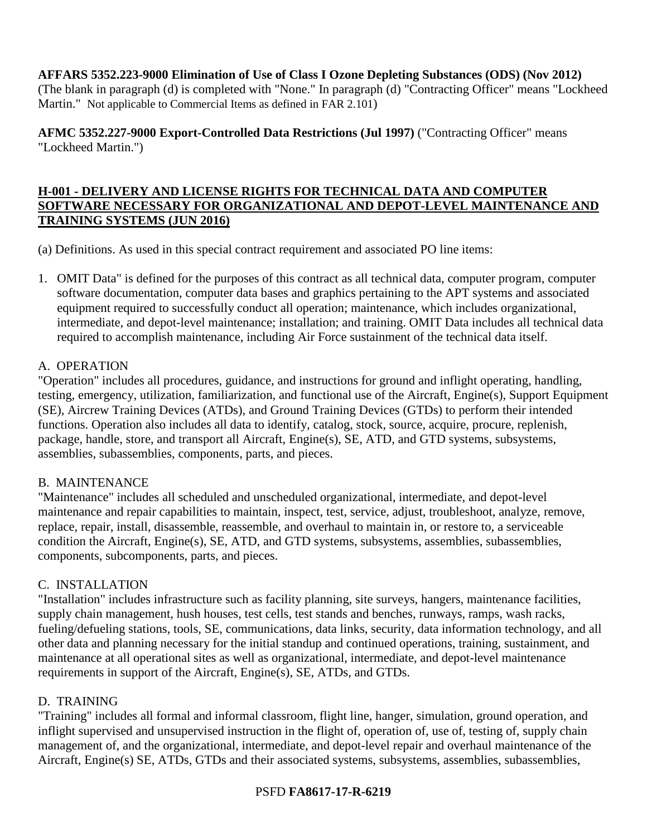#### **AFFARS 5352.223-9000 Elimination of Use of Class I Ozone Depleting Substances (ODS) (Nov 2012)**

(The blank in paragraph (d) is completed with "None." In paragraph (d) "Contracting Officer" means "Lockheed Martin." Not applicable to Commercial Items as defined in FAR 2.101)

**AFMC 5352.227-9000 Export-Controlled Data Restrictions (Jul 1997)** ("Contracting Officer" means "Lockheed Martin.")

## **H-001 - DELIVERY AND LICENSE RIGHTS FOR TECHNICAL DATA AND COMPUTER SOFTWARE NECESSARY FOR ORGANIZATIONAL AND DEPOT-LEVEL MAINTENANCE AND TRAINING SYSTEMS (JUN 2016)**

(a) Definitions. As used in this special contract requirement and associated PO line items:

1. OMIT Data" is defined for the purposes of this contract as all technical data, computer program, computer software documentation, computer data bases and graphics pertaining to the APT systems and associated equipment required to successfully conduct all operation; maintenance, which includes organizational, intermediate, and depot-level maintenance; installation; and training. OMIT Data includes all technical data required to accomplish maintenance, including Air Force sustainment of the technical data itself.

## A. OPERATION

"Operation" includes all procedures, guidance, and instructions for ground and inflight operating, handling, testing, emergency, utilization, familiarization, and functional use of the Aircraft, Engine(s), Support Equipment (SE), Aircrew Training Devices (ATDs), and Ground Training Devices (GTDs) to perform their intended functions. Operation also includes all data to identify, catalog, stock, source, acquire, procure, replenish, package, handle, store, and transport all Aircraft, Engine(s), SE, ATD, and GTD systems, subsystems, assemblies, subassemblies, components, parts, and pieces.

## B. MAINTENANCE

"Maintenance" includes all scheduled and unscheduled organizational, intermediate, and depot-level maintenance and repair capabilities to maintain, inspect, test, service, adjust, troubleshoot, analyze, remove, replace, repair, install, disassemble, reassemble, and overhaul to maintain in, or restore to, a serviceable condition the Aircraft, Engine(s), SE, ATD, and GTD systems, subsystems, assemblies, subassemblies, components, subcomponents, parts, and pieces.

## C. INSTALLATION

"Installation" includes infrastructure such as facility planning, site surveys, hangers, maintenance facilities, supply chain management, hush houses, test cells, test stands and benches, runways, ramps, wash racks, fueling/defueling stations, tools, SE, communications, data links, security, data information technology, and all other data and planning necessary for the initial standup and continued operations, training, sustainment, and maintenance at all operational sites as well as organizational, intermediate, and depot-level maintenance requirements in support of the Aircraft, Engine(s), SE, ATDs, and GTDs.

#### D. TRAINING

"Training" includes all formal and informal classroom, flight line, hanger, simulation, ground operation, and inflight supervised and unsupervised instruction in the flight of, operation of, use of, testing of, supply chain management of, and the organizational, intermediate, and depot-level repair and overhaul maintenance of the Aircraft, Engine(s) SE, ATDs, GTDs and their associated systems, subsystems, assemblies, subassemblies,

## PSFD **FA8617-17-R-6219**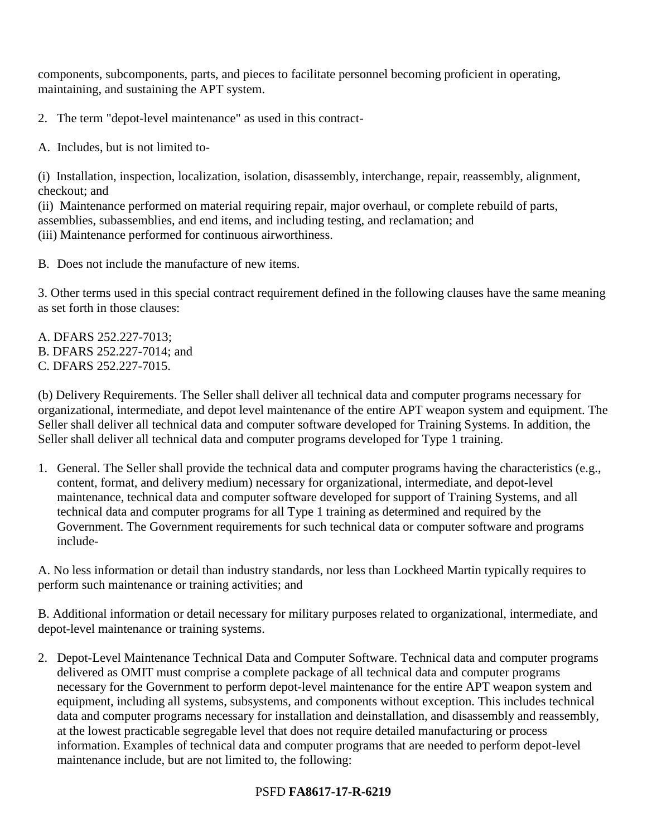components, subcomponents, parts, and pieces to facilitate personnel becoming proficient in operating, maintaining, and sustaining the APT system.

2. The term "depot-level maintenance" as used in this contract-

A. Includes, but is not limited to-

(i) Installation, inspection, localization, isolation, disassembly, interchange, repair, reassembly, alignment, checkout; and

(ii) Maintenance performed on material requiring repair, major overhaul, or complete rebuild of parts, assemblies, subassemblies, and end items, and including testing, and reclamation; and (iii) Maintenance performed for continuous airworthiness.

B. Does not include the manufacture of new items.

3. Other terms used in this special contract requirement defined in the following clauses have the same meaning as set forth in those clauses:

A. DFARS 252.227-7013; B. DFARS 252.227-7014; and C. DFARS 252.227-7015.

(b) Delivery Requirements. The Seller shall deliver all technical data and computer programs necessary for organizational, intermediate, and depot level maintenance of the entire APT weapon system and equipment. The Seller shall deliver all technical data and computer software developed for Training Systems. In addition, the Seller shall deliver all technical data and computer programs developed for Type 1 training.

1. General. The Seller shall provide the technical data and computer programs having the characteristics (e.g., content, format, and delivery medium) necessary for organizational, intermediate, and depot-level maintenance, technical data and computer software developed for support of Training Systems, and all technical data and computer programs for all Type 1 training as determined and required by the Government. The Government requirements for such technical data or computer software and programs include-

A. No less information or detail than industry standards, nor less than Lockheed Martin typically requires to perform such maintenance or training activities; and

B. Additional information or detail necessary for military purposes related to organizational, intermediate, and depot-level maintenance or training systems.

2. Depot-Level Maintenance Technical Data and Computer Software. Technical data and computer programs delivered as OMIT must comprise a complete package of all technical data and computer programs necessary for the Government to perform depot-level maintenance for the entire APT weapon system and equipment, including all systems, subsystems, and components without exception. This includes technical data and computer programs necessary for installation and deinstallation, and disassembly and reassembly, at the lowest practicable segregable level that does not require detailed manufacturing or process information. Examples of technical data and computer programs that are needed to perform depot-level maintenance include, but are not limited to, the following:

# PSFD **FA8617-17-R-6219**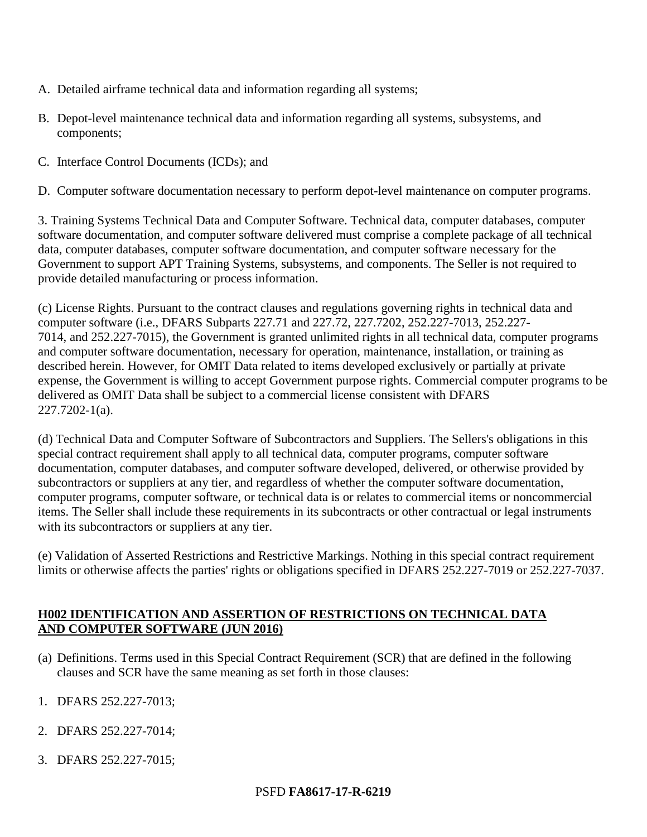- A. Detailed airframe technical data and information regarding all systems;
- B. Depot-level maintenance technical data and information regarding all systems, subsystems, and components;
- C. Interface Control Documents (ICDs); and

D. Computer software documentation necessary to perform depot-level maintenance on computer programs.

3. Training Systems Technical Data and Computer Software. Technical data, computer databases, computer software documentation, and computer software delivered must comprise a complete package of all technical data, computer databases, computer software documentation, and computer software necessary for the Government to support APT Training Systems, subsystems, and components. The Seller is not required to provide detailed manufacturing or process information.

(c) License Rights. Pursuant to the contract clauses and regulations governing rights in technical data and computer software (i.e., DFARS Subparts 227.71 and 227.72, 227.7202, 252.227-7013, 252.227- 7014, and 252.227-7015), the Government is granted unlimited rights in all technical data, computer programs and computer software documentation, necessary for operation, maintenance, installation, or training as described herein. However, for OMIT Data related to items developed exclusively or partially at private expense, the Government is willing to accept Government purpose rights. Commercial computer programs to be delivered as OMIT Data shall be subject to a commercial license consistent with DFARS 227.7202-1(a).

(d) Technical Data and Computer Software of Subcontractors and Suppliers. The Sellers's obligations in this special contract requirement shall apply to all technical data, computer programs, computer software documentation, computer databases, and computer software developed, delivered, or otherwise provided by subcontractors or suppliers at any tier, and regardless of whether the computer software documentation, computer programs, computer software, or technical data is or relates to commercial items or noncommercial items. The Seller shall include these requirements in its subcontracts or other contractual or legal instruments with its subcontractors or suppliers at any tier.

(e) Validation of Asserted Restrictions and Restrictive Markings. Nothing in this special contract requirement limits or otherwise affects the parties' rights or obligations specified in DFARS 252.227-7019 or 252.227-7037.

## **H002 IDENTIFICATION AND ASSERTION OF RESTRICTIONS ON TECHNICAL DATA AND COMPUTER SOFTWARE (JUN 2016)**

- (a) Definitions. Terms used in this Special Contract Requirement (SCR) that are defined in the following clauses and SCR have the same meaning as set forth in those clauses:
- 1. DFARS 252.227-7013;
- 2. DFARS 252.227-7014;
- 3. DFARS 252.227-7015;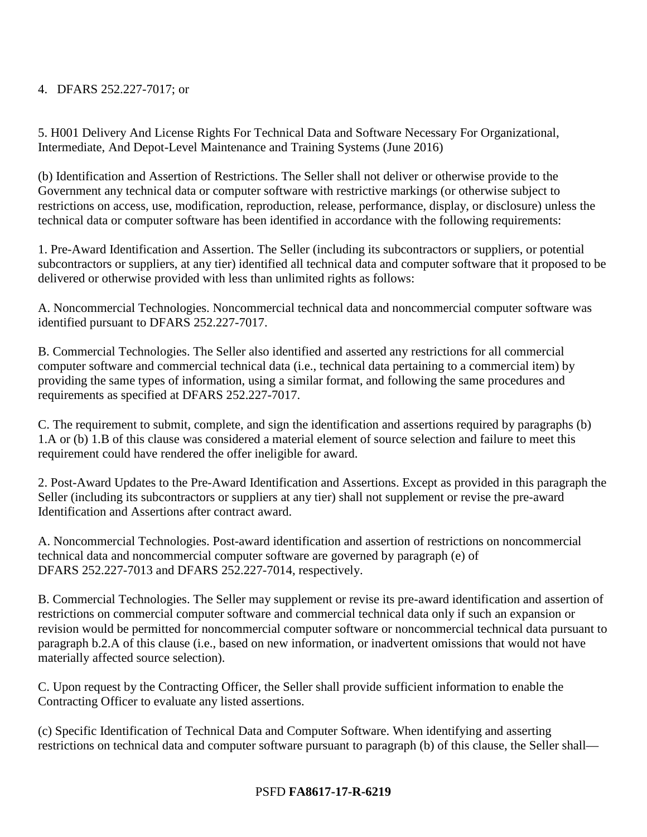## 4. DFARS 252.227-7017; or

5. H001 Delivery And License Rights For Technical Data and Software Necessary For Organizational, Intermediate, And Depot-Level Maintenance and Training Systems (June 2016)

(b) Identification and Assertion of Restrictions. The Seller shall not deliver or otherwise provide to the Government any technical data or computer software with restrictive markings (or otherwise subject to restrictions on access, use, modification, reproduction, release, performance, display, or disclosure) unless the technical data or computer software has been identified in accordance with the following requirements:

1. Pre-Award Identification and Assertion. The Seller (including its subcontractors or suppliers, or potential subcontractors or suppliers, at any tier) identified all technical data and computer software that it proposed to be delivered or otherwise provided with less than unlimited rights as follows:

A. Noncommercial Technologies. Noncommercial technical data and noncommercial computer software was identified pursuant to DFARS 252.227-7017.

B. Commercial Technologies. The Seller also identified and asserted any restrictions for all commercial computer software and commercial technical data (i.e., technical data pertaining to a commercial item) by providing the same types of information, using a similar format, and following the same procedures and requirements as specified at DFARS 252.227-7017.

C. The requirement to submit, complete, and sign the identification and assertions required by paragraphs (b) 1.A or (b) 1.B of this clause was considered a material element of source selection and failure to meet this requirement could have rendered the offer ineligible for award.

2. Post-Award Updates to the Pre-Award Identification and Assertions. Except as provided in this paragraph the Seller (including its subcontractors or suppliers at any tier) shall not supplement or revise the pre-award Identification and Assertions after contract award.

A. Noncommercial Technologies. Post-award identification and assertion of restrictions on noncommercial technical data and noncommercial computer software are governed by paragraph (e) of DFARS 252.227-7013 and DFARS 252.227-7014, respectively.

B. Commercial Technologies. The Seller may supplement or revise its pre-award identification and assertion of restrictions on commercial computer software and commercial technical data only if such an expansion or revision would be permitted for noncommercial computer software or noncommercial technical data pursuant to paragraph b.2.A of this clause (i.e., based on new information, or inadvertent omissions that would not have materially affected source selection).

C. Upon request by the Contracting Officer, the Seller shall provide sufficient information to enable the Contracting Officer to evaluate any listed assertions.

(c) Specific Identification of Technical Data and Computer Software. When identifying and asserting restrictions on technical data and computer software pursuant to paragraph (b) of this clause, the Seller shall—